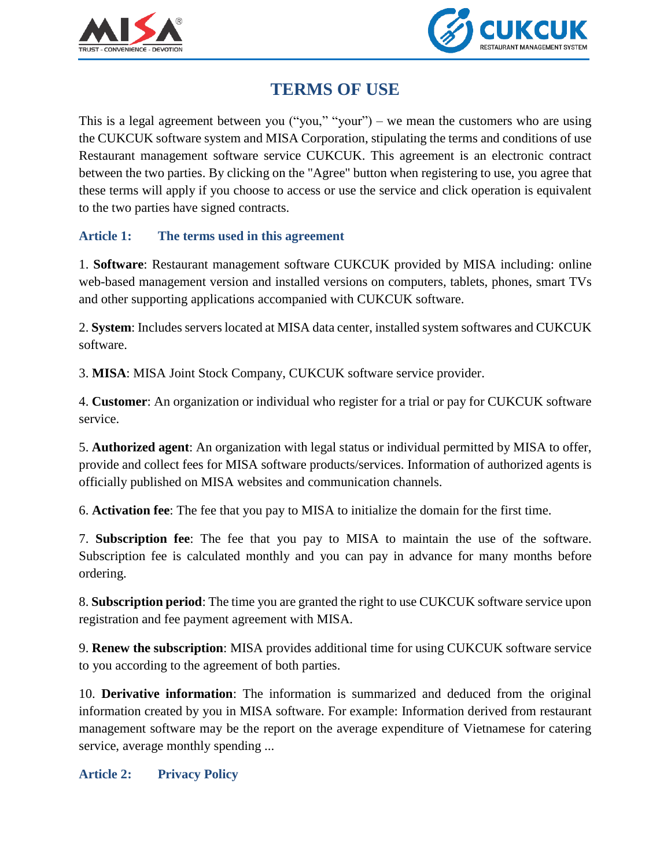



# **TERMS OF USE**

This is a legal agreement between you ("you," "your") – we mean the customers who are using the CUKCUK software system and MISA Corporation, stipulating the terms and conditions of use Restaurant management software service CUKCUK. This agreement is an electronic contract between the two parties. By clicking on the "Agree" button when registering to use, you agree that these terms will apply if you choose to access or use the service and click operation is equivalent to the two parties have signed contracts.

## **Article 1: The terms used in this agreement**

1. **Software**: Restaurant management software CUKCUK provided by MISA including: online web-based management version and installed versions on computers, tablets, phones, smart TVs and other supporting applications accompanied with CUKCUK software.

2. **System**: Includes servers located at MISA data center, installed system softwares and CUKCUK software.

3. **MISA**: MISA Joint Stock Company, CUKCUK software service provider.

4. **Customer**: An organization or individual who register for a trial or pay for CUKCUK software service.

5. **Authorized agent**: An organization with legal status or individual permitted by MISA to offer, provide and collect fees for MISA software products/services. Information of authorized agents is officially published on MISA websites and communication channels.

6. **Activation fee**: The fee that you pay to MISA to initialize the domain for the first time.

7. **Subscription fee**: The fee that you pay to MISA to maintain the use of the software. Subscription fee is calculated monthly and you can pay in advance for many months before ordering.

8. **Subscription period**: The time you are granted the right to use CUKCUK software service upon registration and fee payment agreement with MISA.

9. **Renew the subscription**: MISA provides additional time for using CUKCUK software service to you according to the agreement of both parties.

10. **Derivative information**: The information is summarized and deduced from the original information created by you in MISA software. For example: Information derived from restaurant management software may be the report on the average expenditure of Vietnamese for catering service, average monthly spending ...

**Article 2: Privacy Policy**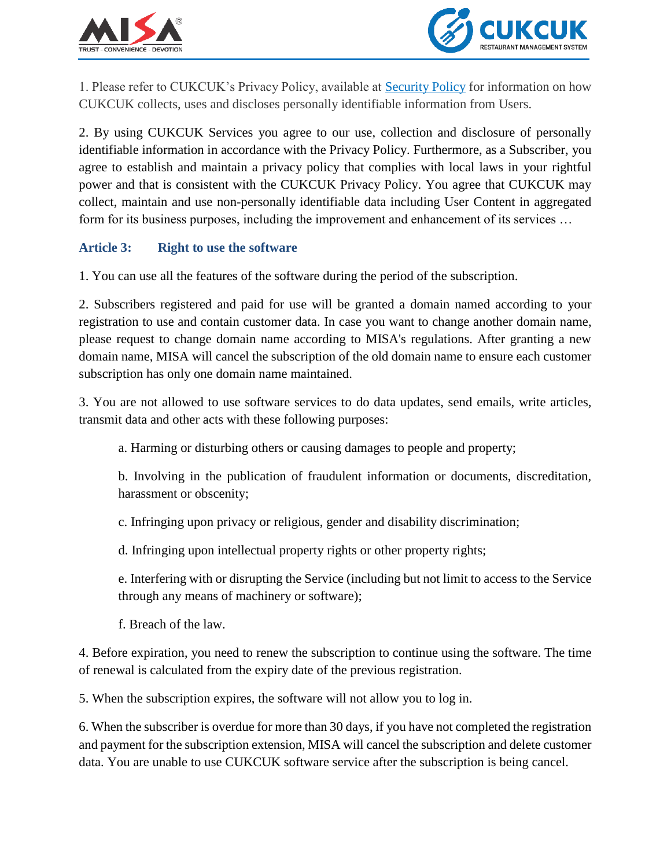



1. Please refer to CUKCUK's Privacy Policy, available at [Security Policy](/Portals/0/Upload2019/Documents/CUKCUK-Security_policy.pdf) for information on how CUKCUK collects, uses and discloses personally identifiable information from Users.

2. By using CUKCUK Services you agree to our use, collection and disclosure of personally identifiable information in accordance with the Privacy Policy. Furthermore, as a Subscriber, you agree to establish and maintain a privacy policy that complies with local laws in your rightful power and that is consistent with the CUKCUK Privacy Policy. You agree that CUKCUK may collect, maintain and use non-personally identifiable data including User Content in aggregated form for its business purposes, including the improvement and enhancement of its services …

## **Article 3: Right to use the software**

1. You can use all the features of the software during the period of the subscription.

2. Subscribers registered and paid for use will be granted a domain named according to your registration to use and contain customer data. In case you want to change another domain name, please request to change domain name according to MISA's regulations. After granting a new domain name, MISA will cancel the subscription of the old domain name to ensure each customer subscription has only one domain name maintained.

3. You are not allowed to use software services to do data updates, send emails, write articles, transmit data and other acts with these following purposes:

a. Harming or disturbing others or causing damages to people and property;

b. Involving in the publication of fraudulent information or documents, discreditation, harassment or obscenity;

c. Infringing upon privacy or religious, gender and disability discrimination;

d. Infringing upon intellectual property rights or other property rights;

e. Interfering with or disrupting the Service (including but not limit to access to the Service through any means of machinery or software);

f. Breach of the law.

4. Before expiration, you need to renew the subscription to continue using the software. The time of renewal is calculated from the expiry date of the previous registration.

5. When the subscription expires, the software will not allow you to log in.

6. When the subscriber is overdue for more than 30 days, if you have not completed the registration and payment for the subscription extension, MISA will cancel the subscription and delete customer data. You are unable to use CUKCUK software service after the subscription is being cancel.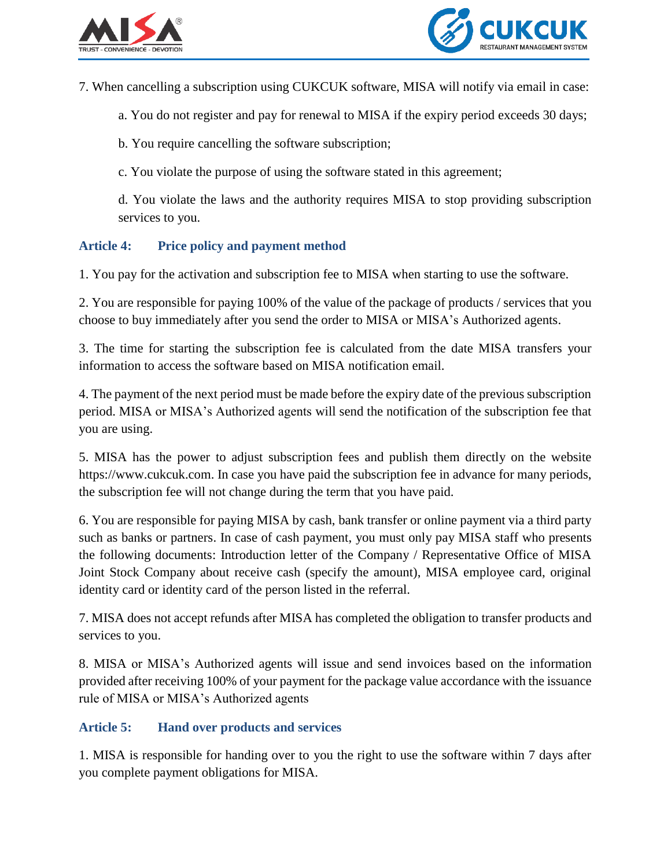



7. When cancelling a subscription using CUKCUK software, MISA will notify via email in case:

a. You do not register and pay for renewal to MISA if the expiry period exceeds 30 days;

b. You require cancelling the software subscription;

c. You violate the purpose of using the software stated in this agreement;

d. You violate the laws and the authority requires MISA to stop providing subscription services to you.

# **Article 4: Price policy and payment method**

1. You pay for the activation and subscription fee to MISA when starting to use the software.

2. You are responsible for paying 100% of the value of the package of products / services that you choose to buy immediately after you send the order to MISA or MISA's Authorized agents.

3. The time for starting the subscription fee is calculated from the date MISA transfers your information to access the software based on MISA notification email.

4. The payment of the next period must be made before the expiry date of the previous subscription period. MISA or MISA's Authorized agents will send the notification of the subscription fee that you are using.

5. MISA has the power to adjust subscription fees and publish them directly on the website https://www.cukcuk.com. In case you have paid the subscription fee in advance for many periods, the subscription fee will not change during the term that you have paid.

6. You are responsible for paying MISA by cash, bank transfer or online payment via a third party such as banks or partners. In case of cash payment, you must only pay MISA staff who presents the following documents: Introduction letter of the Company / Representative Office of MISA Joint Stock Company about receive cash (specify the amount), MISA employee card, original identity card or identity card of the person listed in the referral.

7. MISA does not accept refunds after MISA has completed the obligation to transfer products and services to you.

8. MISA or MISA's Authorized agents will issue and send invoices based on the information provided after receiving 100% of your payment for the package value accordance with the issuance rule of MISA or MISA's Authorized agents

## **Article 5: Hand over products and services**

1. MISA is responsible for handing over to you the right to use the software within 7 days after you complete payment obligations for MISA.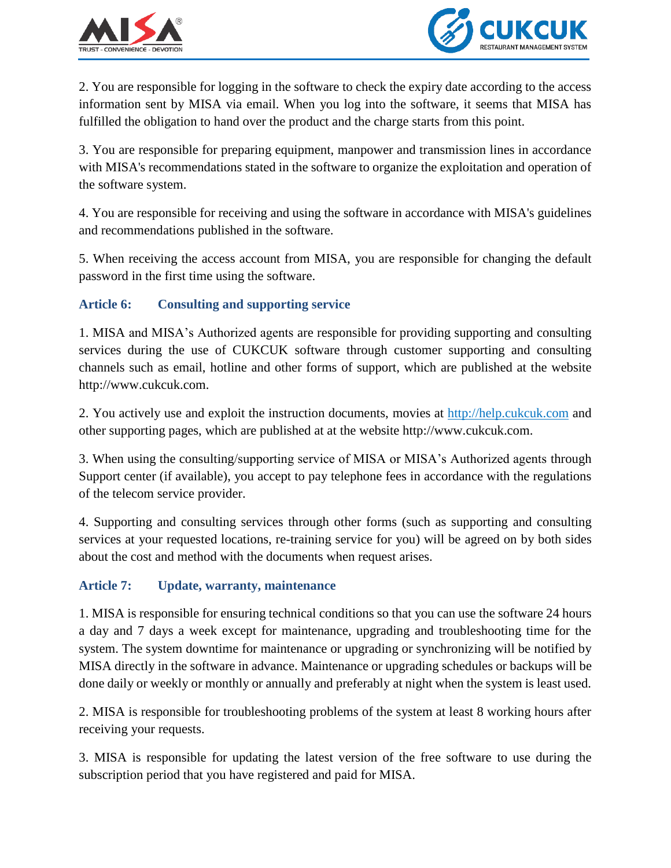



2. You are responsible for logging in the software to check the expiry date according to the access information sent by MISA via email. When you log into the software, it seems that MISA has fulfilled the obligation to hand over the product and the charge starts from this point.

3. You are responsible for preparing equipment, manpower and transmission lines in accordance with MISA's recommendations stated in the software to organize the exploitation and operation of the software system.

4. You are responsible for receiving and using the software in accordance with MISA's guidelines and recommendations published in the software.

5. When receiving the access account from MISA, you are responsible for changing the default password in the first time using the software.

## **Article 6: Consulting and supporting service**

1. MISA and MISA's Authorized agents are responsible for providing supporting and consulting services during the use of CUKCUK software through customer supporting and consulting channels such as email, hotline and other forms of support, which are published at the website http://www.cukcuk.com.

2. You actively use and exploit the instruction documents, movies at [http://help.cukcuk.com](http://help.cukcuk.com/) and other supporting pages, which are published at at the website http://www.cukcuk.com.

3. When using the consulting/supporting service of MISA or MISA's Authorized agents through Support center (if available), you accept to pay telephone fees in accordance with the regulations of the telecom service provider.

4. Supporting and consulting services through other forms (such as supporting and consulting services at your requested locations, re-training service for you) will be agreed on by both sides about the cost and method with the documents when request arises.

## **Article 7: Update, warranty, maintenance**

1. MISA is responsible for ensuring technical conditions so that you can use the software 24 hours a day and 7 days a week except for maintenance, upgrading and troubleshooting time for the system. The system downtime for maintenance or upgrading or synchronizing will be notified by MISA directly in the software in advance. Maintenance or upgrading schedules or backups will be done daily or weekly or monthly or annually and preferably at night when the system is least used.

2. MISA is responsible for troubleshooting problems of the system at least 8 working hours after receiving your requests.

3. MISA is responsible for updating the latest version of the free software to use during the subscription period that you have registered and paid for MISA.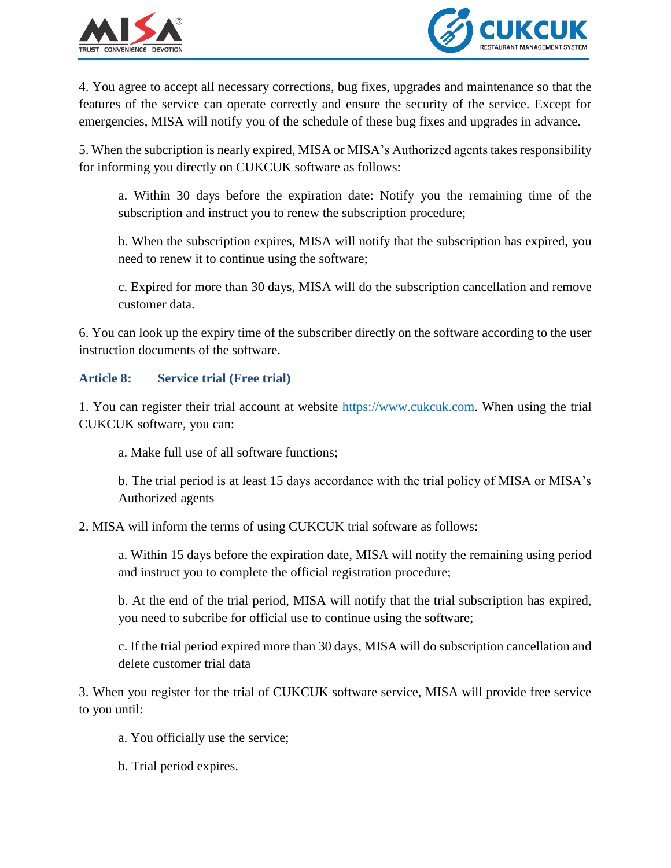



4. You agree to accept all necessary corrections, bug fixes, upgrades and maintenance so that the features of the service can operate correctly and ensure the security of the service. Except for emergencies, MISA will notify you of the schedule of these bug fixes and upgrades in advance.

5. When the subcription is nearly expired, MISA or MISA's Authorized agents takes responsibility for informing you directly on CUKCUK software as follows:

a. Within 30 days before the expiration date: Notify you the remaining time of the subscription and instruct you to renew the subscription procedure;

b. When the subscription expires, MISA will notify that the subscription has expired, you need to renew it to continue using the software;

c. Expired for more than 30 days, MISA will do the subscription cancellation and remove customer data.

6. You can look up the expiry time of the subscriber directly on the software according to the user instruction documents of the software.

## **Article 8: Service trial (Free trial)**

1. You can register their trial account at website [https://www.cukcuk.com.](https://www.cukcuk.com/) When using the trial CUKCUK software, you can:

a. Make full use of all software functions;

b. The trial period is at least 15 days accordance with the trial policy of MISA or MISA's Authorized agents

2. MISA will inform the terms of using CUKCUK trial software as follows:

a. Within 15 days before the expiration date, MISA will notify the remaining using period and instruct you to complete the official registration procedure;

b. At the end of the trial period, MISA will notify that the trial subscription has expired, you need to subcribe for official use to continue using the software;

c. If the trial period expired more than 30 days, MISA will do subscription cancellation and delete customer trial data

3. When you register for the trial of CUKCUK software service, MISA will provide free service to you until:

- a. You officially use the service;
- b. Trial period expires.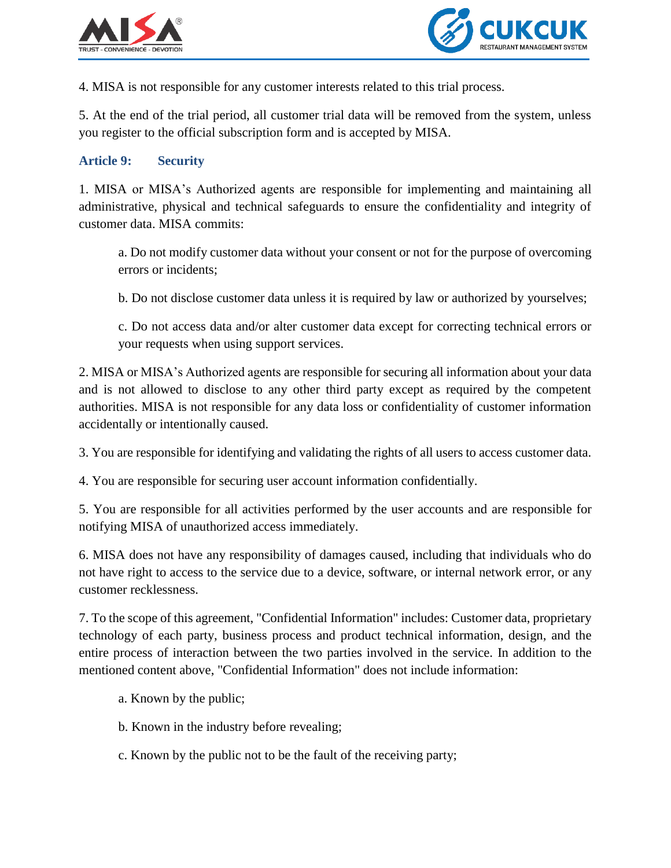



4. MISA is not responsible for any customer interests related to this trial process.

5. At the end of the trial period, all customer trial data will be removed from the system, unless you register to the official subscription form and is accepted by MISA.

#### **Article 9: Security**

1. MISA or MISA's Authorized agents are responsible for implementing and maintaining all administrative, physical and technical safeguards to ensure the confidentiality and integrity of customer data. MISA commits:

a. Do not modify customer data without your consent or not for the purpose of overcoming errors or incidents;

b. Do not disclose customer data unless it is required by law or authorized by yourselves;

c. Do not access data and/or alter customer data except for correcting technical errors or your requests when using support services.

2. MISA or MISA's Authorized agents are responsible for securing all information about your data and is not allowed to disclose to any other third party except as required by the competent authorities. MISA is not responsible for any data loss or confidentiality of customer information accidentally or intentionally caused.

3. You are responsible for identifying and validating the rights of all users to access customer data.

4. You are responsible for securing user account information confidentially.

5. You are responsible for all activities performed by the user accounts and are responsible for notifying MISA of unauthorized access immediately.

6. MISA does not have any responsibility of damages caused, including that individuals who do not have right to access to the service due to a device, software, or internal network error, or any customer recklessness.

7. To the scope of this agreement, "Confidential Information" includes: Customer data, proprietary technology of each party, business process and product technical information, design, and the entire process of interaction between the two parties involved in the service. In addition to the mentioned content above, "Confidential Information" does not include information:

- a. Known by the public;
- b. Known in the industry before revealing;
- c. Known by the public not to be the fault of the receiving party;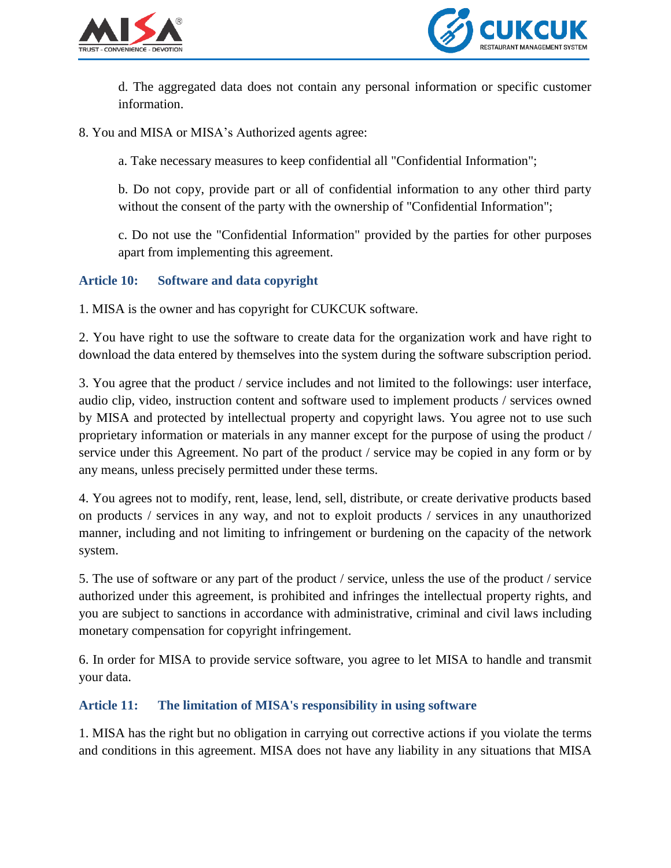



d. The aggregated data does not contain any personal information or specific customer information.

8. You and MISA or MISA's Authorized agents agree:

a. Take necessary measures to keep confidential all "Confidential Information";

b. Do not copy, provide part or all of confidential information to any other third party without the consent of the party with the ownership of "Confidential Information";

c. Do not use the "Confidential Information" provided by the parties for other purposes apart from implementing this agreement.

#### **Article 10: Software and data copyright**

1. MISA is the owner and has copyright for CUKCUK software.

2. You have right to use the software to create data for the organization work and have right to download the data entered by themselves into the system during the software subscription period.

3. You agree that the product / service includes and not limited to the followings: user interface, audio clip, video, instruction content and software used to implement products / services owned by MISA and protected by intellectual property and copyright laws. You agree not to use such proprietary information or materials in any manner except for the purpose of using the product / service under this Agreement. No part of the product / service may be copied in any form or by any means, unless precisely permitted under these terms.

4. You agrees not to modify, rent, lease, lend, sell, distribute, or create derivative products based on products / services in any way, and not to exploit products / services in any unauthorized manner, including and not limiting to infringement or burdening on the capacity of the network system.

5. The use of software or any part of the product / service, unless the use of the product / service authorized under this agreement, is prohibited and infringes the intellectual property rights, and you are subject to sanctions in accordance with administrative, criminal and civil laws including monetary compensation for copyright infringement.

6. In order for MISA to provide service software, you agree to let MISA to handle and transmit your data.

#### **Article 11: The limitation of MISA's responsibility in using software**

1. MISA has the right but no obligation in carrying out corrective actions if you violate the terms and conditions in this agreement. MISA does not have any liability in any situations that MISA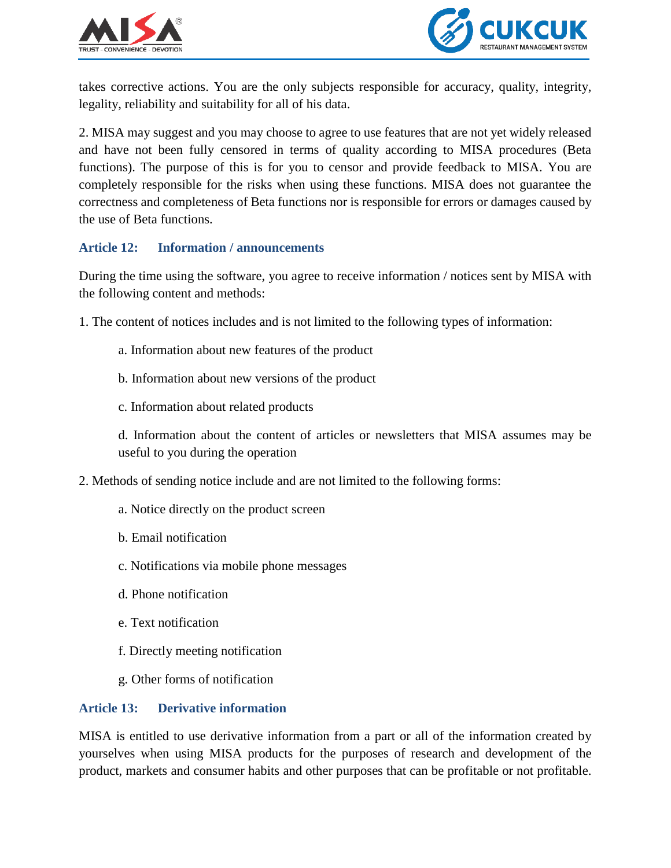



takes corrective actions. You are the only subjects responsible for accuracy, quality, integrity, legality, reliability and suitability for all of his data.

2. MISA may suggest and you may choose to agree to use features that are not yet widely released and have not been fully censored in terms of quality according to MISA procedures (Beta functions). The purpose of this is for you to censor and provide feedback to MISA. You are completely responsible for the risks when using these functions. MISA does not guarantee the correctness and completeness of Beta functions nor is responsible for errors or damages caused by the use of Beta functions.

#### **Article 12: Information / announcements**

During the time using the software, you agree to receive information / notices sent by MISA with the following content and methods:

- 1. The content of notices includes and is not limited to the following types of information:
	- a. Information about new features of the product
	- b. Information about new versions of the product
	- c. Information about related products

d. Information about the content of articles or newsletters that MISA assumes may be useful to you during the operation

- 2. Methods of sending notice include and are not limited to the following forms:
	- a. Notice directly on the product screen
	- b. Email notification
	- c. Notifications via mobile phone messages
	- d. Phone notification
	- e. Text notification
	- f. Directly meeting notification
	- g. Other forms of notification

#### **Article 13: Derivative information**

MISA is entitled to use derivative information from a part or all of the information created by yourselves when using MISA products for the purposes of research and development of the product, markets and consumer habits and other purposes that can be profitable or not profitable.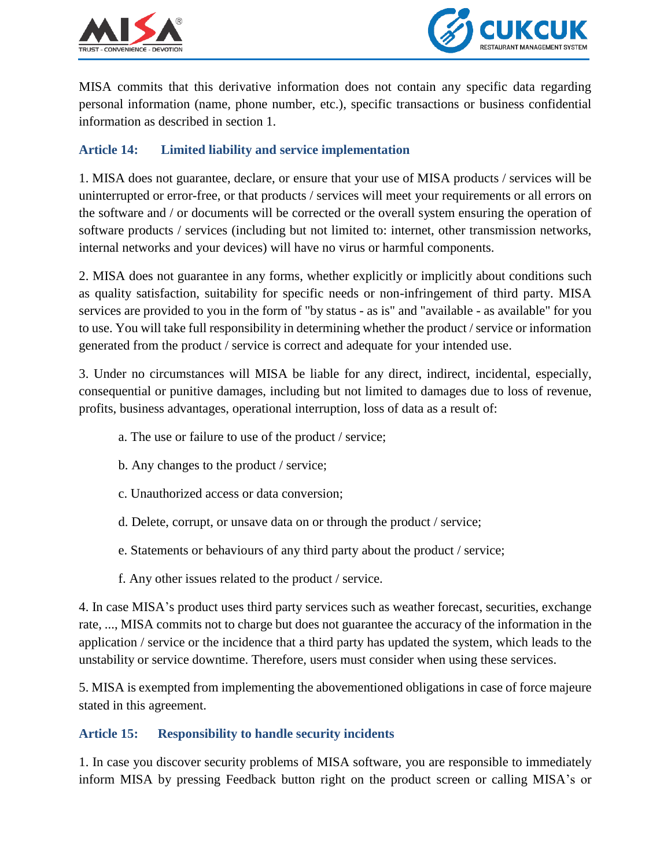



MISA commits that this derivative information does not contain any specific data regarding personal information (name, phone number, etc.), specific transactions or business confidential information as described in section 1.

# **Article 14: Limited liability and service implementation**

1. MISA does not guarantee, declare, or ensure that your use of MISA products / services will be uninterrupted or error-free, or that products / services will meet your requirements or all errors on the software and / or documents will be corrected or the overall system ensuring the operation of software products / services (including but not limited to: internet, other transmission networks, internal networks and your devices) will have no virus or harmful components.

2. MISA does not guarantee in any forms, whether explicitly or implicitly about conditions such as quality satisfaction, suitability for specific needs or non-infringement of third party. MISA services are provided to you in the form of "by status - as is" and "available - as available" for you to use. You will take full responsibility in determining whether the product / service or information generated from the product / service is correct and adequate for your intended use.

3. Under no circumstances will MISA be liable for any direct, indirect, incidental, especially, consequential or punitive damages, including but not limited to damages due to loss of revenue, profits, business advantages, operational interruption, loss of data as a result of:

- a. The use or failure to use of the product / service;
- b. Any changes to the product / service;
- c. Unauthorized access or data conversion;
- d. Delete, corrupt, or unsave data on or through the product / service;
- e. Statements or behaviours of any third party about the product / service;
- f. Any other issues related to the product / service.

4. In case MISA's product uses third party services such as weather forecast, securities, exchange rate, ..., MISA commits not to charge but does not guarantee the accuracy of the information in the application / service or the incidence that a third party has updated the system, which leads to the unstability or service downtime. Therefore, users must consider when using these services.

5. MISA is exempted from implementing the abovementioned obligations in case of force majeure stated in this agreement.

## **Article 15: Responsibility to handle security incidents**

1. In case you discover security problems of MISA software, you are responsible to immediately inform MISA by pressing Feedback button right on the product screen or calling MISA's or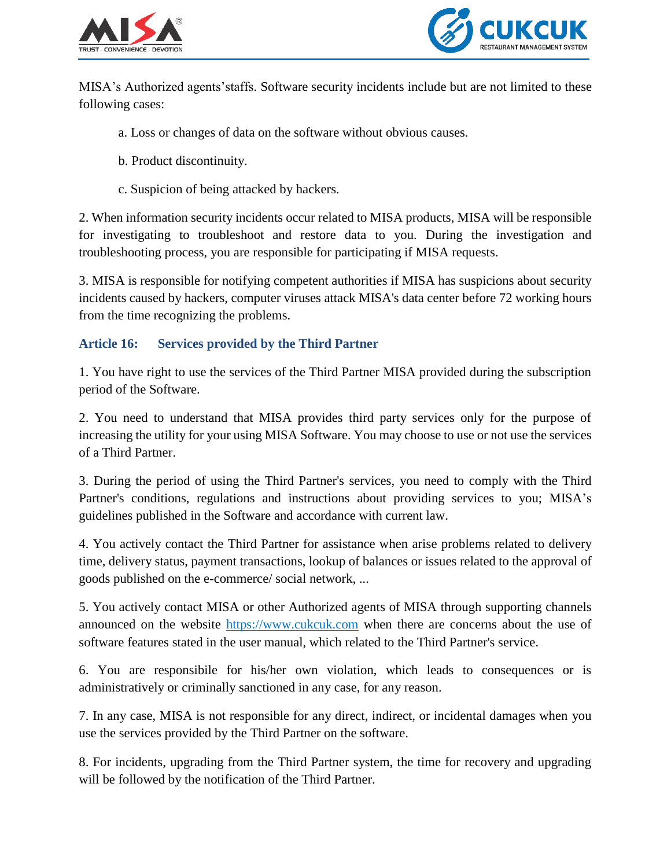



MISA's Authorized agents'staffs. Software security incidents include but are not limited to these following cases:

- a. Loss or changes of data on the software without obvious causes.
- b. Product discontinuity.
- c. Suspicion of being attacked by hackers.

2. When information security incidents occur related to MISA products, MISA will be responsible for investigating to troubleshoot and restore data to you. During the investigation and troubleshooting process, you are responsible for participating if MISA requests.

3. MISA is responsible for notifying competent authorities if MISA has suspicions about security incidents caused by hackers, computer viruses attack MISA's data center before 72 working hours from the time recognizing the problems.

## **Article 16: Services provided by the Third Partner**

1. You have right to use the services of the Third Partner MISA provided during the subscription period of the Software.

2. You need to understand that MISA provides third party services only for the purpose of increasing the utility for your using MISA Software. You may choose to use or not use the services of a Third Partner.

3. During the period of using the Third Partner's services, you need to comply with the Third Partner's conditions, regulations and instructions about providing services to you; MISA's guidelines published in the Software and accordance with current law.

4. You actively contact the Third Partner for assistance when arise problems related to delivery time, delivery status, payment transactions, lookup of balances or issues related to the approval of goods published on the e-commerce/ social network, ...

5. You actively contact MISA or other Authorized agents of MISA through supporting channels announced on the website [https://www.cukcuk.com](https://www.cukcuk.com/) when there are concerns about the use of software features stated in the user manual, which related to the Third Partner's service.

6. You are responsibile for his/her own violation, which leads to consequences or is administratively or criminally sanctioned in any case, for any reason.

7. In any case, MISA is not responsible for any direct, indirect, or incidental damages when you use the services provided by the Third Partner on the software.

8. For incidents, upgrading from the Third Partner system, the time for recovery and upgrading will be followed by the notification of the Third Partner.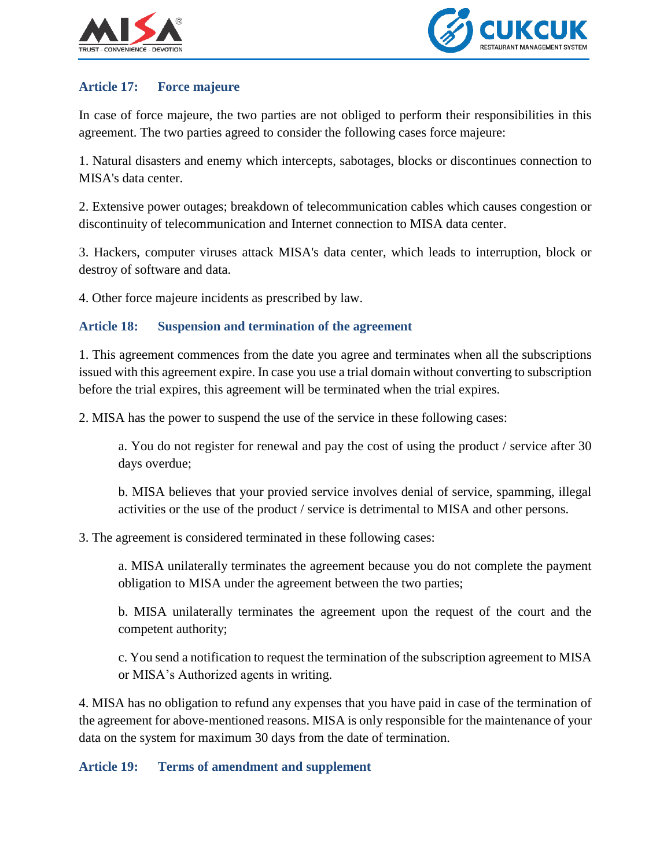



## **Article 17: Force majeure**

In case of force majeure, the two parties are not obliged to perform their responsibilities in this agreement. The two parties agreed to consider the following cases force majeure:

1. Natural disasters and enemy which intercepts, sabotages, blocks or discontinues connection to MISA's data center.

2. Extensive power outages; breakdown of telecommunication cables which causes congestion or discontinuity of telecommunication and Internet connection to MISA data center.

3. Hackers, computer viruses attack MISA's data center, which leads to interruption, block or destroy of software and data.

4. Other force majeure incidents as prescribed by law.

#### **Article 18: Suspension and termination of the agreement**

1. This agreement commences from the date you agree and terminates when all the subscriptions issued with this agreement expire. In case you use a trial domain without converting to subscription before the trial expires, this agreement will be terminated when the trial expires.

2. MISA has the power to suspend the use of the service in these following cases:

a. You do not register for renewal and pay the cost of using the product / service after 30 days overdue;

b. MISA believes that your provied service involves denial of service, spamming, illegal activities or the use of the product / service is detrimental to MISA and other persons.

3. The agreement is considered terminated in these following cases:

a. MISA unilaterally terminates the agreement because you do not complete the payment obligation to MISA under the agreement between the two parties;

b. MISA unilaterally terminates the agreement upon the request of the court and the competent authority;

c. You send a notification to request the termination of the subscription agreement to MISA or MISA's Authorized agents in writing.

4. MISA has no obligation to refund any expenses that you have paid in case of the termination of the agreement for above-mentioned reasons. MISA is only responsible for the maintenance of your data on the system for maximum 30 days from the date of termination.

#### **Article 19: Terms of amendment and supplement**